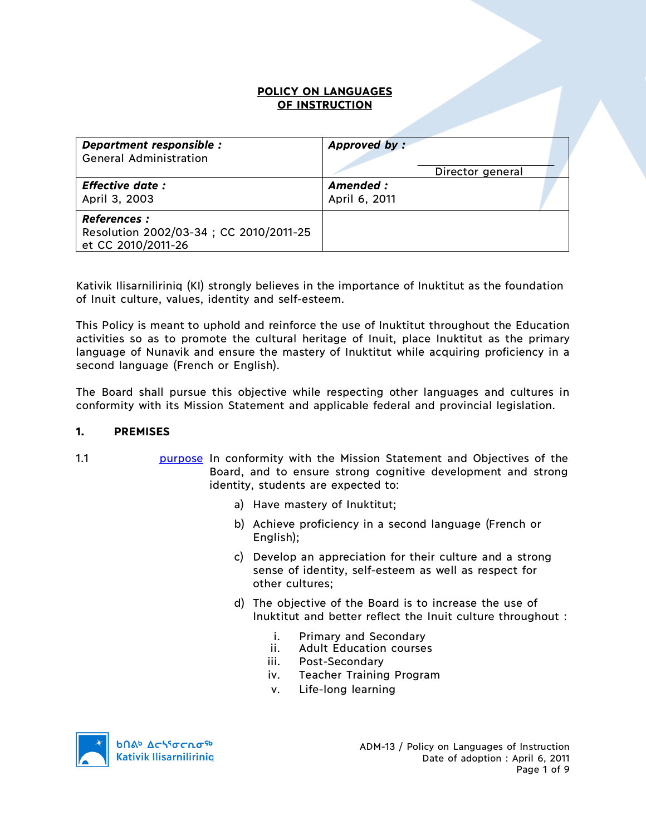### **POLICY ON LANGUAGES OF INSTRUCTION**

| Department responsible :                                                           | Approved by:     |
|------------------------------------------------------------------------------------|------------------|
| <b>General Administration</b>                                                      | Director general |
| <b>Effective date:</b>                                                             | Amended :        |
| April 3, 2003                                                                      | April 6, 2011    |
| <b>References:</b><br>Resolution 2002/03-34; CC 2010/2011-25<br>et CC 2010/2011-26 |                  |

Kativik Ilisarniliriniq (KI) strongly believes in the importance of Inuktitut as the foundation of Inuit culture, values, identity and self-esteem.

This Policy is meant to uphold and reinforce the use of Inuktitut throughout the Education activities so as to promote the cultural heritage of Inuit, place Inuktitut as the primary language of Nunavik and ensure the mastery of Inuktitut while acquiring proficiency in a second language (French or English).

The Board shall pursue this objective while respecting other languages and cultures in conformity with its Mission Statement and applicable federal and provincial legislation.

#### **1. PREMISES**

- 
- 1.1 **purpose** In conformity with the Mission Statement and Objectives of the Board, and to ensure strong cognitive development and strong identity, students are expected to:
	- a) Have mastery of Inuktitut;
	- b) Achieve proficiency in a second language (French or English);
	- c) Develop an appreciation for their culture and a strong sense of identity, self-esteem as well as respect for other cultures;
	- d) The objective of the Board is to increase the use of Inuktitut and better reflect the Inuit culture throughout :
		- i. Primary and Secondary
		- ii. Adult Education courses
		- iii. Post-Secondary
		- iv. Teacher Training Program
		- v. Life-long learning

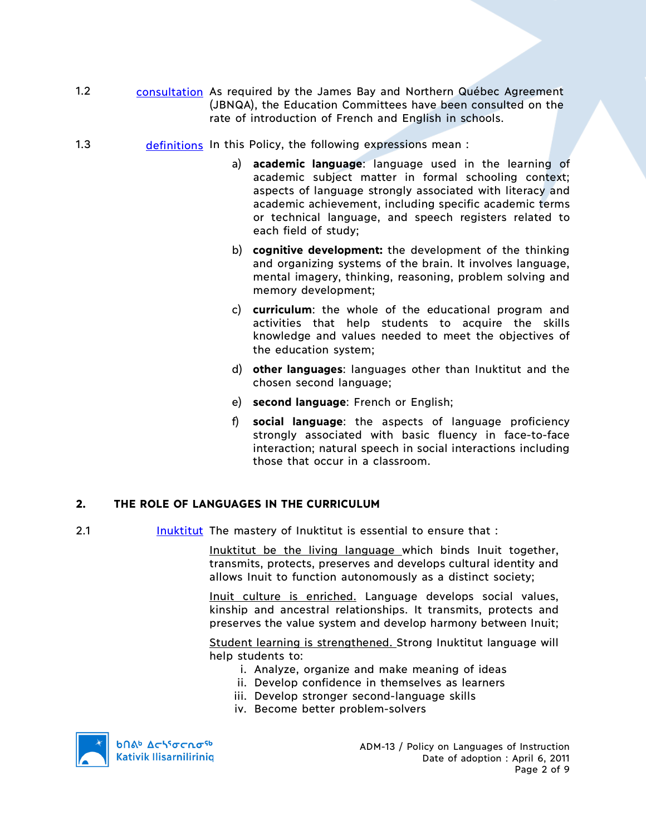- 1.2 consultation As required by the James Bay and Northern Québec Agreement (JBNQA), the Education Committees have been consulted on the rate of introduction of French and English in schools.
- 1.3 definitions In this Policy, the following expressions mean :
	- a) **academic language**: language used in the learning of academic subject matter in formal schooling context; aspects of language strongly associated with literacy and academic achievement, including specific academic terms or technical language, and speech registers related to each field of study;
	- b) **cognitive development:** the development of the thinking and organizing systems of the brain. It involves language, mental imagery, thinking, reasoning, problem solving and memory development;
	- c) **curriculum**: the whole of the educational program and activities that help students to acquire the skills knowledge and values needed to meet the objectives of the education system;
	- d) **other languages**: languages other than Inuktitut and the chosen second language;
	- e) **second language**: French or English;
	- f) **social language**: the aspects of language proficiency strongly associated with basic fluency in face-to-face interaction; natural speech in social interactions including those that occur in a classroom.

## **2. THE ROLE OF LANGUAGES IN THE CURRICULUM**

2.1 Inuktitut The mastery of Inuktitut is essential to ensure that :

Inuktitut be the living language which binds Inuit together, transmits, protects, preserves and develops cultural identity and allows Inuit to function autonomously as a distinct society;

Inuit culture is enriched. Language develops social values, kinship and ancestral relationships. It transmits, protects and preserves the value system and develop harmony between Inuit;

Student learning is strengthened. Strong Inuktitut language will help students to:

- i. Analyze, organize and make meaning of ideas
- ii. Develop confidence in themselves as learners
- iii. Develop stronger second-language skills
- iv. Become better problem-solvers



**b**Πል<sup>b</sup> Δςιγσς ησ<sup>ς 6</sup> **Kativik Ilisarniliriniq**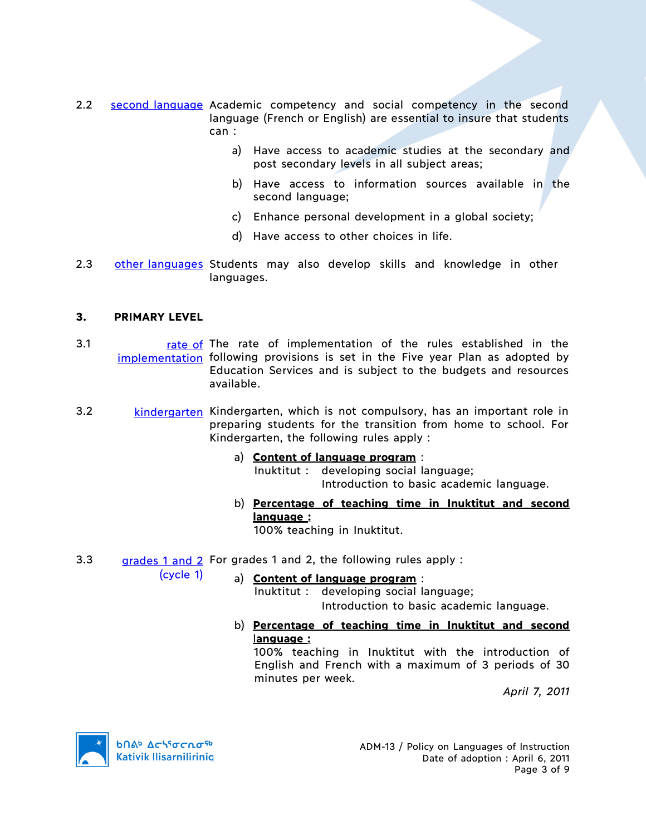- 2.2 second language Academic competency and social competency in the second language (French or English) are essential to insure that students can :
	- a) Have access to academic studies at the secondary and post secondary levels in all subject areas;
	- b) Have access to information sources available in the second language;
	- c) Enhance personal development in a global society;
	- d) Have access to other choices in life.
- 2.3 other languages Students may also develop skills and knowledge in other languages.

## **3. PRIMARY LEVEL**

- 3.1 rate of The rate of implementation of the rules established in the implementation following provisions is set in the Five year Plan as adopted by Education Services and is subject to the budgets and resources available.
- 3.2 kindergarten Kindergarten, which is not compulsory, has an important role in preparing students for the transition from home to school. For Kindergarten, the following rules apply :
	- a) **Content of language program** :

Inuktitut : developing social language; Introduction to basic academic language.

b) **Percentage of teaching time in Inuktitut and second language :**

100% teaching in Inuktitut.

3.3 grades 1 and 2 For grades 1 and 2, the following rules apply :

(cycle 1)

a) **Content of language program** :

Inuktitut : developing social language; Introduction to basic academic language.

b) **Percentage of teaching time in Inuktitut and second** l**anguage :**

100% teaching in Inuktitut with the introduction of English and French with a maximum of 3 periods of 30 minutes per week.

*April 7, 2011*

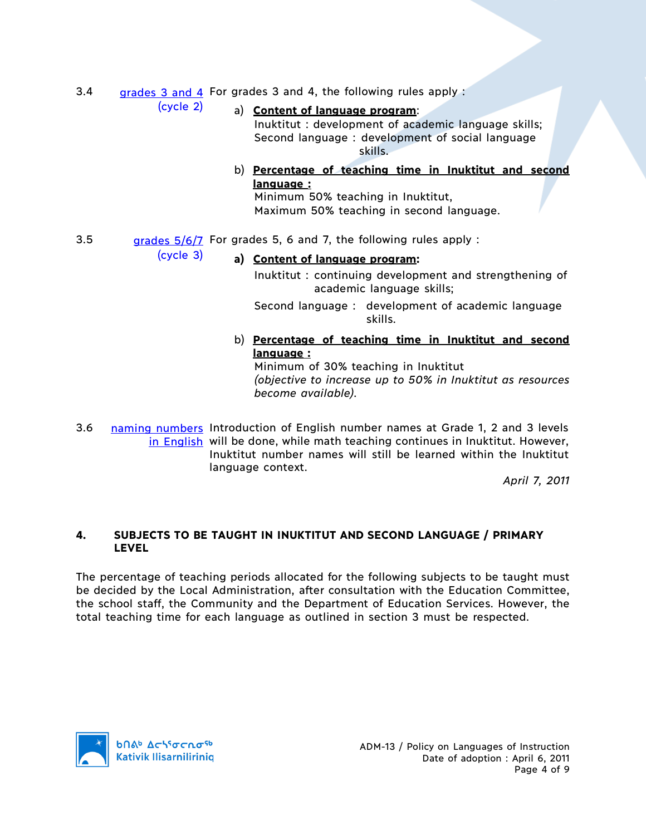3.4 grades 3 and 4 For grades 3 and 4, the following rules apply :

(cycle 2)

(cycle 3)

a) **Content of language program**:

Inuktitut : development of academic language skills; Second language : development of social language skills.

b) **Percentage of teaching time in Inuktitut and second language :**

Minimum 50% teaching in Inuktitut, Maximum 50% teaching in second language.

3.5 grades  $\frac{5}{6}/\frac{7}{2}$  For grades 5, 6 and 7, the following rules apply :

# **a) Content of language program:**

Inuktitut : continuing development and strengthening of academic language skills;

Second language : development of academic language skills.

b) **Percentage of teaching time in Inuktitut and second language :**

Minimum of 30% teaching in Inuktitut *(objective to increase up to 50% in Inuktitut as resources become available).*

3.6 naming numbers Introduction of English number names at Grade 1, 2 and 3 levels in English will be done, while math teaching continues in Inuktitut. However, Inuktitut number names will still be learned within the Inuktitut language context.

*April 7, 2011*

### **4. SUBJECTS TO BE TAUGHT IN INUKTITUT AND SECOND LANGUAGE / PRIMARY LEVEL**

The percentage of teaching periods allocated for the following subjects to be taught must be decided by the Local Administration, after consultation with the Education Committee, the school staff, the Community and the Department of Education Services. However, the total teaching time for each language as outlined in section 3 must be respected.

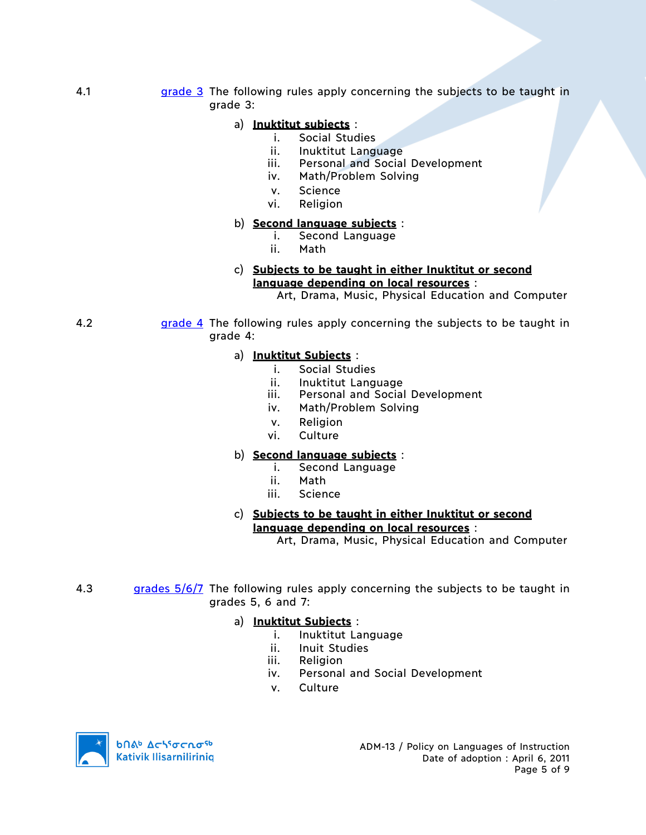4.1 **grade 3** The following rules apply concerning the subjects to be taught in grade 3:

## a) **Inuktitut subjects** :

- i. Social Studies
- ii. Inuktitut Language
- iii. Personal and Social Development
- iv. Math/Problem Solving
- v. Science
- vi. Religion

## b) **Second language subjects** :

- i. Second Language
	- ii. Math

#### c) **Subjects to be taught in either Inuktitut or second language depending on local resources** :

Art, Drama, Music, Physical Education and Computer

4.2 **grade 4** The following rules apply concerning the subjects to be taught in grade 4:

### a) **Inuktitut Subjects** :

- i. Social Studies
- ii. Inuktitut Language
- iii. Personal and Social Development
- iv. Math/Problem Solving
- v. Religion
- vi. Culture

## b) **Second language subjects** :

- i. Second Language
- ii. Math
- iii. Science

#### c) **Subjects to be taught in either Inuktitut or second language depending on local resources** :

Art, Drama, Music, Physical Education and Computer

4.3 grades  $5/6/7$  The following rules apply concerning the subjects to be taught in grades 5, 6 and 7:

#### a) **Inuktitut Subjects** :

- i. Inuktitut Language
- ii. Inuit Studies
- iii. Religion
- iv. Personal and Social Development
- v. Culture

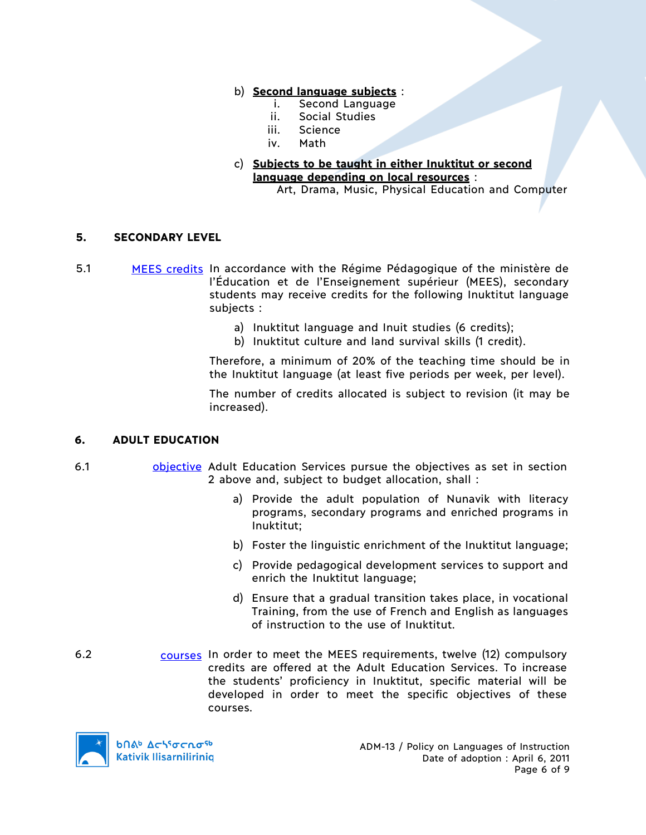### b) **Second language subjects** :

- i. Second Language
- ii. Social Studies
- iii. Science
- iv. Math
- c) **Subjects to be taught in either Inuktitut or second language depending on local resources** :

Art, Drama, Music, Physical Education and Computer

### **5. SECONDARY LEVEL**

- 5.1 MEES credits In accordance with the Régime Pédagogique of the ministère de l'Éducation et de l'Enseignement supérieur (MEES), secondary students may receive credits for the following Inuktitut language subjects :
	- a) Inuktitut language and Inuit studies (6 credits);
	- b) Inuktitut culture and land survival skills (1 credit).

Therefore, a minimum of 20% of the teaching time should be in the Inuktitut language (at least five periods per week, per level).

The number of credits allocated is subject to revision (it may be increased).

#### **6. ADULT EDUCATION**

- 6.1 **objective Adult Education Services pursue the objectives as set in section** 2 above and, subject to budget allocation, shall :
	- a) Provide the adult population of Nunavik with literacy programs, secondary programs and enriched programs in Inuktitut;
	- b) Foster the linguistic enrichment of the Inuktitut language;
	- c) Provide pedagogical development services to support and enrich the Inuktitut language;
	- d) Ensure that a gradual transition takes place, in vocational Training, from the use of French and English as languages of instruction to the use of Inuktitut.
- 6.2 courses In order to meet the MEES requirements, twelve (12) compulsory credits are offered at the Adult Education Services. To increase the students' proficiency in Inuktitut, specific material will be developed in order to meet the specific objectives of these courses.

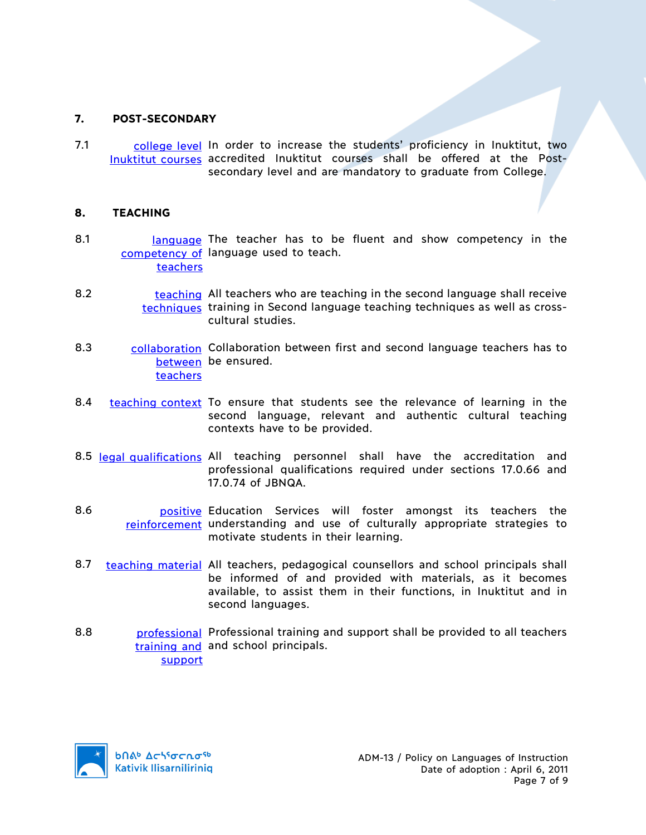## **7. POST-SECONDARY**

7.1 college level In order to increase the students' proficiency in Inuktitut, two Inuktitut courses accredited Inuktitut courses shall be offered at the Postsecondary level and are mandatory to graduate from College.

#### **8. TEACHING**

- 8.1 **language** The teacher has to be fluent and show competency in the competency of language used to teach. teachers
- 8.2 teaching All teachers who are teaching in the second language shall receive techniques training in Second language teaching techniques as well as crosscultural studies.
- 8.3 collaboration Collaboration between first and second language teachers has to between be ensured. teachers
- 8.4 teaching context To ensure that students see the relevance of learning in the second language, relevant and authentic cultural teaching contexts have to be provided.
- 8.5 legal qualifications All teaching personnel shall have the accreditation and professional qualifications required under sections 17.0.66 and 17.0.74 of JBNQA.
- 8.6 **builing** positive Education Services will foster amongst its teachers the reinforcement understanding and use of culturally appropriate strategies to motivate students in their learning.
- 8.7 teaching material All teachers, pedagogical counsellors and school principals shall be informed of and provided with materials, as it becomes available, to assist them in their functions, in Inuktitut and in second languages.
- 8.8 **professional Professional training and support shall be provided to all teachers** training and and school principals. support

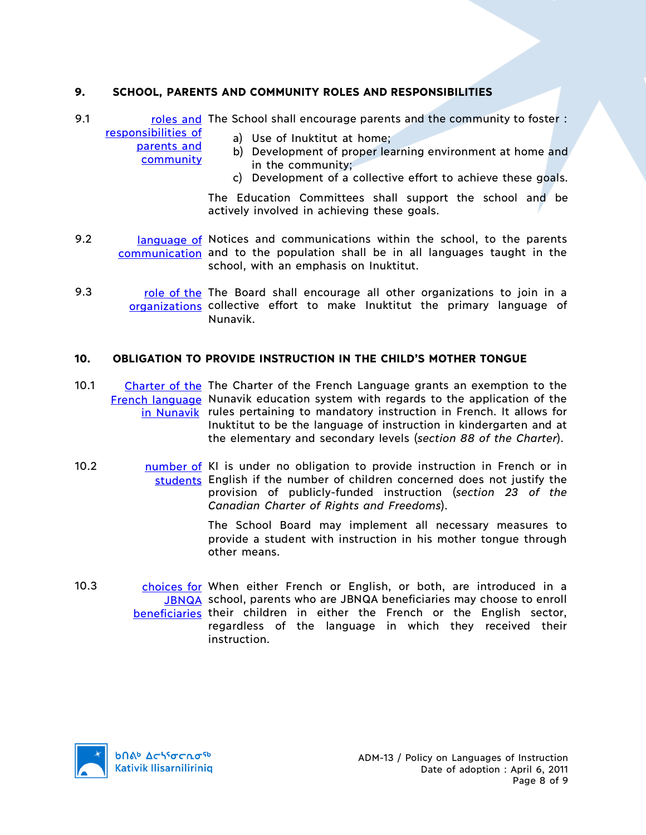## **9. SCHOOL, PARENTS AND COMMUNITY ROLES AND RESPONSIBILITIES**

9.1 roles and The School shall encourage parents and the community to foster : responsibilities of

> parents and **community**

- a) Use of Inuktitut at home;
- b) Development of proper learning environment at home and in the community;
- c) Development of a collective effort to achieve these goals.

The Education Committees shall support the school and be actively involved in achieving these goals.

- 9.2 **language of Notices and communications within the school, to the parents** communication and to the population shall be in all languages taught in the school, with an emphasis on Inuktitut.
- 9.3 role of the The Board shall encourage all other organizations to join in a organizations collective effort to make Inuktitut the primary language of Nunavik.

### **10. OBLIGATION TO PROVIDE INSTRUCTION IN THE CHILD'S MOTHER TONGUE**

- 10.1 Charter of the The Charter of the French Language grants an exemption to the French language Nunavik education system with regards to the application of the in Nunavik rules pertaining to mandatory instruction in French. It allows for Inuktitut to be the language of instruction in kindergarten and at the elementary and secondary levels (*section 88 of the Charter*).
- 10.2 10.2 number of KI is under no obligation to provide instruction in French or in students English if the number of children concerned does not justify the provision of publicly-funded instruction (*section 23 of the Canadian Charter of Rights and Freedoms*).

The School Board may implement all necessary measures to provide a student with instruction in his mother tongue through other means.

10.3 choices for When either French or English, or both, are introduced in a JBNQA school, parents who are JBNQA beneficiaries may choose to enroll beneficiaries their children in either the French or the English sector, regardless of the language in which they received their instruction.